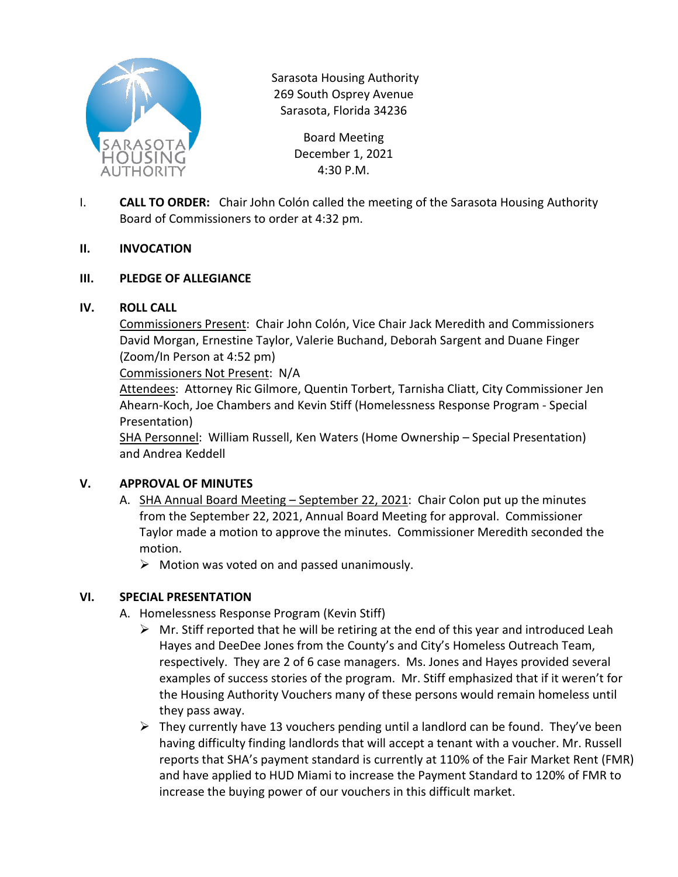

Sarasota Housing Authority 269 South Osprey Avenue Sarasota, Florida 34236

> Board Meeting December 1, 2021 4:30 P.M.

I. **CALL TO ORDER:** Chair John Colón called the meeting of the Sarasota Housing Authority Board of Commissioners to order at 4:32 pm.

### **II. INVOCATION**

### **III. PLEDGE OF ALLEGIANCE**

### **IV. ROLL CALL**

Commissioners Present: Chair John Colón, Vice Chair Jack Meredith and Commissioners David Morgan, Ernestine Taylor, Valerie Buchand, Deborah Sargent and Duane Finger (Zoom/In Person at 4:52 pm)

Commissioners Not Present: N/A

Attendees: Attorney Ric Gilmore, Quentin Torbert, Tarnisha Cliatt, City Commissioner Jen Ahearn-Koch, Joe Chambers and Kevin Stiff (Homelessness Response Program - Special Presentation)

SHA Personnel: William Russell, Ken Waters (Home Ownership – Special Presentation) and Andrea Keddell

## **V. APPROVAL OF MINUTES**

- A. SHA Annual Board Meeting September 22, 2021: Chair Colon put up the minutes from the September 22, 2021, Annual Board Meeting for approval. Commissioner Taylor made a motion to approve the minutes. Commissioner Meredith seconded the motion.
	- $\triangleright$  Motion was voted on and passed unanimously.

## **VI. SPECIAL PRESENTATION**

- A. Homelessness Response Program (Kevin Stiff)
	- $\triangleright$  Mr. Stiff reported that he will be retiring at the end of this year and introduced Leah Hayes and DeeDee Jones from the County's and City's Homeless Outreach Team, respectively. They are 2 of 6 case managers. Ms. Jones and Hayes provided several examples of success stories of the program. Mr. Stiff emphasized that if it weren't for the Housing Authority Vouchers many of these persons would remain homeless until they pass away.
	- $\triangleright$  They currently have 13 vouchers pending until a landlord can be found. They've been having difficulty finding landlords that will accept a tenant with a voucher. Mr. Russell reports that SHA's payment standard is currently at 110% of the Fair Market Rent (FMR) and have applied to HUD Miami to increase the Payment Standard to 120% of FMR to increase the buying power of our vouchers in this difficult market.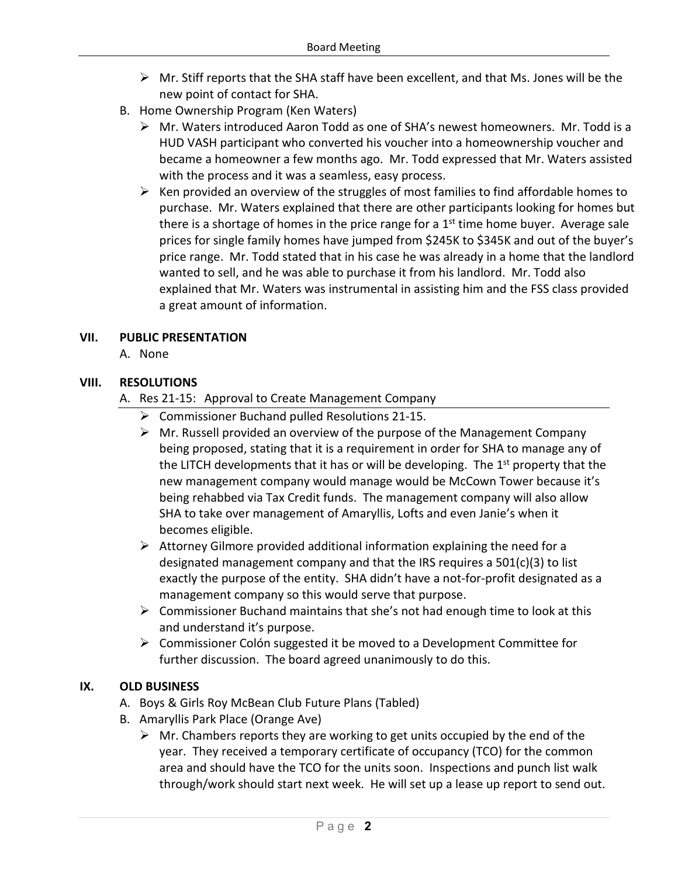- $\triangleright$  Mr. Stiff reports that the SHA staff have been excellent, and that Ms. Jones will be the new point of contact for SHA.
- B. Home Ownership Program (Ken Waters)
	- Mr. Waters introduced Aaron Todd as one of SHA's newest homeowners. Mr. Todd is a HUD VASH participant who converted his voucher into a homeownership voucher and became a homeowner a few months ago. Mr. Todd expressed that Mr. Waters assisted with the process and it was a seamless, easy process.
	- $\triangleright$  Ken provided an overview of the struggles of most families to find affordable homes to purchase. Mr. Waters explained that there are other participants looking for homes but there is a shortage of homes in the price range for a  $1<sup>st</sup>$  time home buyer. Average sale prices for single family homes have jumped from \$245K to \$345K and out of the buyer's price range. Mr. Todd stated that in his case he was already in a home that the landlord wanted to sell, and he was able to purchase it from his landlord. Mr. Todd also explained that Mr. Waters was instrumental in assisting him and the FSS class provided a great amount of information.

## **VII. PUBLIC PRESENTATION**

A. None

### **VIII. RESOLUTIONS**

- A. Res 21-15: Approval to Create Management Company
	- Commissioner Buchand pulled Resolutions 21-15.
	- $\triangleright$  Mr. Russell provided an overview of the purpose of the Management Company being proposed, stating that it is a requirement in order for SHA to manage any of the LITCH developments that it has or will be developing. The  $1<sup>st</sup>$  property that the new management company would manage would be McCown Tower because it's being rehabbed via Tax Credit funds. The management company will also allow SHA to take over management of Amaryllis, Lofts and even Janie's when it becomes eligible.
	- $\triangleright$  Attorney Gilmore provided additional information explaining the need for a designated management company and that the IRS requires a 501(c)(3) to list exactly the purpose of the entity. SHA didn't have a not-for-profit designated as a management company so this would serve that purpose.
	- $\triangleright$  Commissioner Buchand maintains that she's not had enough time to look at this and understand it's purpose.
	- $\triangleright$  Commissioner Colón suggested it be moved to a Development Committee for further discussion. The board agreed unanimously to do this.

#### **IX. OLD BUSINESS**

- A. Boys & Girls Roy McBean Club Future Plans (Tabled)
- B. Amaryllis Park Place (Orange Ave)
	- $\triangleright$  Mr. Chambers reports they are working to get units occupied by the end of the year. They received a temporary certificate of occupancy (TCO) for the common area and should have the TCO for the units soon. Inspections and punch list walk through/work should start next week. He will set up a lease up report to send out.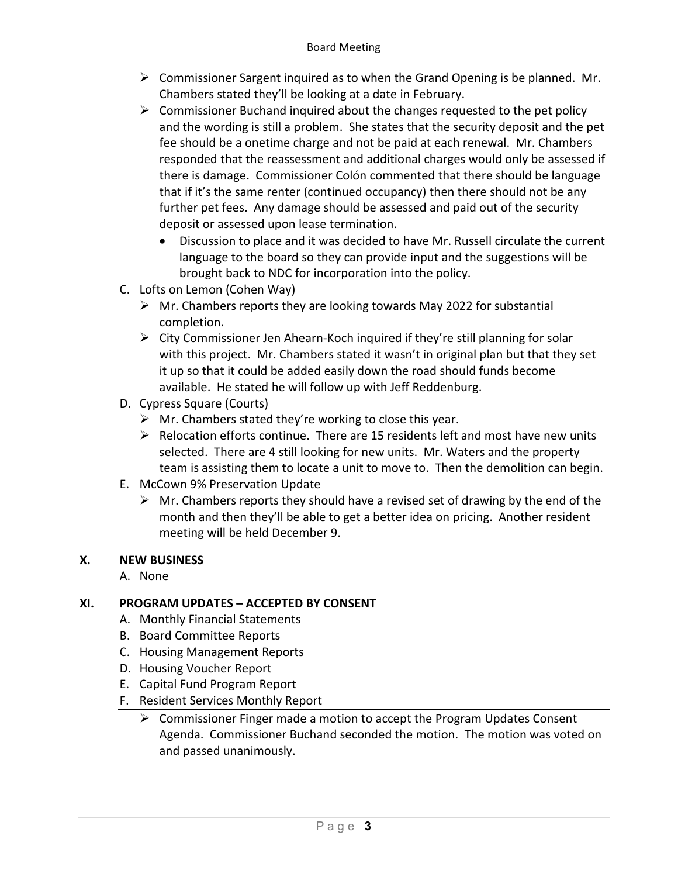- $\triangleright$  Commissioner Sargent inquired as to when the Grand Opening is be planned. Mr. Chambers stated they'll be looking at a date in February.
- $\triangleright$  Commissioner Buchand inquired about the changes requested to the pet policy and the wording is still a problem. She states that the security deposit and the pet fee should be a onetime charge and not be paid at each renewal. Mr. Chambers responded that the reassessment and additional charges would only be assessed if there is damage. Commissioner Colón commented that there should be language that if it's the same renter (continued occupancy) then there should not be any further pet fees. Any damage should be assessed and paid out of the security deposit or assessed upon lease termination.
	- Discussion to place and it was decided to have Mr. Russell circulate the current language to the board so they can provide input and the suggestions will be brought back to NDC for incorporation into the policy.
- C. Lofts on Lemon (Cohen Way)
	- $\triangleright$  Mr. Chambers reports they are looking towards May 2022 for substantial completion.
	- $\triangleright$  City Commissioner Jen Ahearn-Koch inquired if they're still planning for solar with this project. Mr. Chambers stated it wasn't in original plan but that they set it up so that it could be added easily down the road should funds become available. He stated he will follow up with Jeff Reddenburg.
- D. Cypress Square (Courts)
	- $\triangleright$  Mr. Chambers stated they're working to close this year.
	- $\triangleright$  Relocation efforts continue. There are 15 residents left and most have new units selected. There are 4 still looking for new units. Mr. Waters and the property team is assisting them to locate a unit to move to. Then the demolition can begin.
- E. McCown 9% Preservation Update
	- $\triangleright$  Mr. Chambers reports they should have a revised set of drawing by the end of the month and then they'll be able to get a better idea on pricing. Another resident meeting will be held December 9.

## **X. NEW BUSINESS**

A. None

## **XI. PROGRAM UPDATES – ACCEPTED BY CONSENT**

- A. Monthly Financial Statements
- B. Board Committee Reports
- C. Housing Management Reports
- D. Housing Voucher Report
- E. Capital Fund Program Report
- F. Resident Services Monthly Report
	- $\triangleright$  Commissioner Finger made a motion to accept the Program Updates Consent Agenda. Commissioner Buchand seconded the motion. The motion was voted on and passed unanimously.